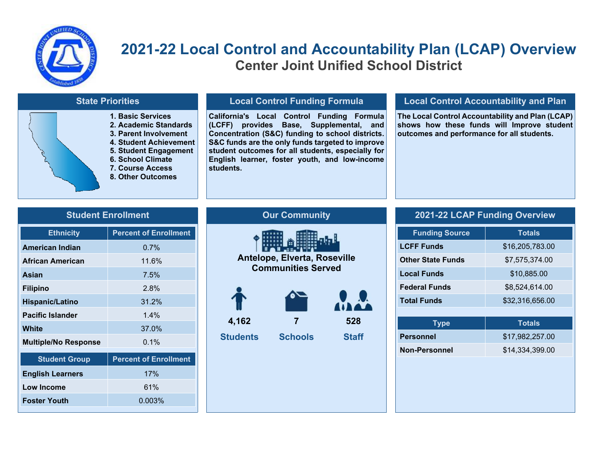

# **2021-22 Local Control and Accountability Plan (LCAP) Overview Center Joint Unified School District**

### **State Priorities**

- **1. Basic Services**
- **2. Academic Standards**
- **3. Parent Involvement**
- **4. Student Achievement**
- **5. Student Engagement**
- **6. School Climate**
- **7. Course Access**
- **8. Other Outcomes**

### **Local Control Funding Formula**

**California's Local Control Funding Formula (LCFF) provides Base, Supplemental, and Concentration (S&C) funding to school districts. S&C funds are the only funds targeted to improve student outcomes for all students, especially for English learner, foster youth, and low-income students.**

#### **Local Control Accountability and Plan**

**The Local Control Accountability and Plan (LCAP) shows how these funds will Improve student outcomes and performance for all students.**

#### **Student Enrollment**

| <b>Ethnicity</b>            | <b>Percent of Enrollment</b> |
|-----------------------------|------------------------------|
| <b>American Indian</b>      | 0.7%                         |
| African American            | 11.6%                        |
| Asian                       | $7.5\%$                      |
| <b>Filipino</b>             | 2.8%                         |
| <b>Hispanic/Latino</b>      | 31.2%                        |
| <b>Pacific Islander</b>     | 1.4%                         |
| White                       | 37.0%                        |
| <b>Multiple/No Response</b> | $0.1\%$                      |
| <b>Student Group</b>        | <b>Percent of Enrollment</b> |
| <b>English Learners</b>     | 17%                          |
| <b>Low Income</b>           | 61%                          |
| <b>Foster Youth</b>         | 0.003%                       |

# **Our Community**



#### **2021-22 LCAP Funding Overview**

| <b>Funding Source</b>    | <b>Totals</b>   |
|--------------------------|-----------------|
| <b>LCFF Funds</b>        | \$16,205,783.00 |
| <b>Other State Funds</b> | \$7,575,374.00  |
| <b>Local Funds</b>       | \$10,885.00     |
| <b>Federal Funds</b>     | \$8,524,614.00  |
| <b>Total Funds</b>       | \$32,316,656.00 |
|                          |                 |
|                          | Totals          |

| $\mathbf{y}$         | .               |
|----------------------|-----------------|
| <b>Personnel</b>     | \$17,982,257.00 |
| <b>Non-Personnel</b> | \$14,334,399.00 |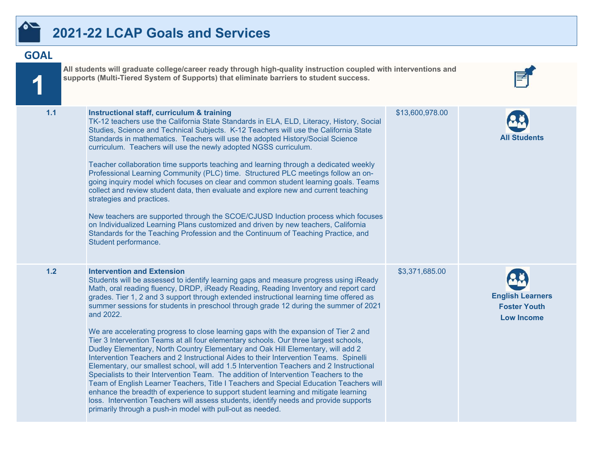

# **2021-22 LCAP Goals and Services**

# **GOAL**

**1**

| 1.1 | Instructional staff, curriculum & training<br>TK-12 teachers use the California State Standards in ELA, ELD, Literacy, History, Social<br>Studies, Science and Technical Subjects. K-12 Teachers will use the California State<br>Standards in mathematics. Teachers will use the adopted History/Social Science<br>curriculum. Teachers will use the newly adopted NGSS curriculum.<br>Teacher collaboration time supports teaching and learning through a dedicated weekly<br>Professional Learning Community (PLC) time. Structured PLC meetings follow an on-<br>going inquiry model which focuses on clear and common student learning goals. Teams<br>collect and review student data, then evaluate and explore new and current teaching<br>strategies and practices.<br>New teachers are supported through the SCOE/CJUSD Induction process which focuses<br>on Individualized Learning Plans customized and driven by new teachers, California<br>Standards for the Teaching Profession and the Continuum of Teaching Practice, and<br>Student performance.                                                                                                                                                                                                                                     | \$13,600,978.00 | All Students                                                        |
|-----|----------------------------------------------------------------------------------------------------------------------------------------------------------------------------------------------------------------------------------------------------------------------------------------------------------------------------------------------------------------------------------------------------------------------------------------------------------------------------------------------------------------------------------------------------------------------------------------------------------------------------------------------------------------------------------------------------------------------------------------------------------------------------------------------------------------------------------------------------------------------------------------------------------------------------------------------------------------------------------------------------------------------------------------------------------------------------------------------------------------------------------------------------------------------------------------------------------------------------------------------------------------------------------------------------------|-----------------|---------------------------------------------------------------------|
| 1.2 | <b>Intervention and Extension</b><br>Students will be assessed to identify learning gaps and measure progress using iReady<br>Math, oral reading fluency, DRDP, iReady Reading, Reading Inventory and report card<br>grades. Tier 1, 2 and 3 support through extended instructional learning time offered as<br>summer sessions for students in preschool through grade 12 during the summer of 2021<br>and 2022.<br>We are accelerating progress to close learning gaps with the expansion of Tier 2 and<br>Tier 3 Intervention Teams at all four elementary schools. Our three largest schools,<br>Dudley Elementary, North Country Elementary and Oak Hill Elementary, will add 2<br>Intervention Teachers and 2 Instructional Aides to their Intervention Teams. Spinelli<br>Elementary, our smallest school, will add 1.5 Intervention Teachers and 2 Instructional<br>Specialists to their Intervention Team. The addition of Intervention Teachers to the<br>Team of English Learner Teachers, Title I Teachers and Special Education Teachers will<br>enhance the breadth of experience to support student learning and mitigate learning<br>loss. Intervention Teachers will assess students, identify needs and provide supports<br>primarily through a push-in model with pull-out as needed. | \$3,371,685.00  | <b>English Learners</b><br><b>Foster Youth</b><br><b>Low Income</b> |

E

**All students will graduate college/career ready through high-quality instruction coupled with interventions and**

**supports (Multi-Tiered System of Supports) that eliminate barriers to student success.**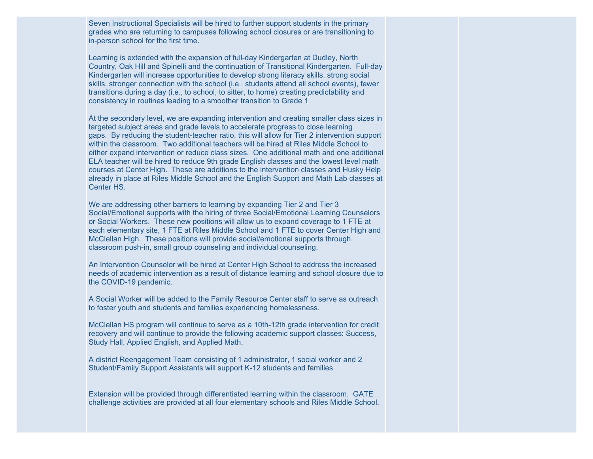Seven Instructional Specialists will be hired to further support students in the primary grades who are returning to campuses following school closures or are transitioning to in-person school for the first time.

Learning is extended with the expansion of full-day Kindergarten at Dudley, North Country, Oak Hill and Spinelli and the continuation of Transitional Kindergarten. Full-day Kindergarten will increase opportunities to develop strong literacy skills, strong social skills, stronger connection with the school (i.e., students attend all school events), fewer transitions during a day (i.e., to school, to sitter, to home) creating predictability and consistency in routines leading to a smoother transition to Grade 1

At the secondary level, we are expanding intervention and creating smaller class sizes in targeted subject areas and grade levels to accelerate progress to close learning gaps. By reducing the student-teacher ratio, this will allow for Tier 2 intervention support within the classroom. Two additional teachers will be hired at Riles Middle School to either expand intervention or reduce class sizes. One additional math and one additional ELA teacher will be hired to reduce 9th grade English classes and the lowest level math courses at Center High. These are additions to the intervention classes and Husky Help already in place at Riles Middle School and the English Support and Math Lab classes at Center HS.

We are addressing other barriers to learning by expanding Tier 2 and Tier 3 Social/Emotional supports with the hiring of three Social/Emotional Learning Counselors or Social Workers. These new positions will allow us to expand coverage to 1 FTE at each elementary site, 1 FTE at Riles Middle School and 1 FTE to cover Center High and McClellan High. These positions will provide social/emotional supports through classroom push-in, small group counseling and individual counseling.

An Intervention Counselor will be hired at Center High School to address the increased needs of academic intervention as a result of distance learning and school closure due to the COVID-19 pandemic.

A Social Worker will be added to the Family Resource Center staff to serve as outreach to foster youth and students and families experiencing homelessness.

McClellan HS program will continue to serve as a 10th-12th grade intervention for credit recovery and will continue to provide the following academic support classes: Success, Study Hall, Applied English, and Applied Math.

A district Reengagement Team consisting of 1 administrator, 1 social worker and 2 Student/Family Support Assistants will support K-12 students and families.

Extension will be provided through differentiated learning within the classroom. GATE challenge activities are provided at all four elementary schools and Riles Middle School.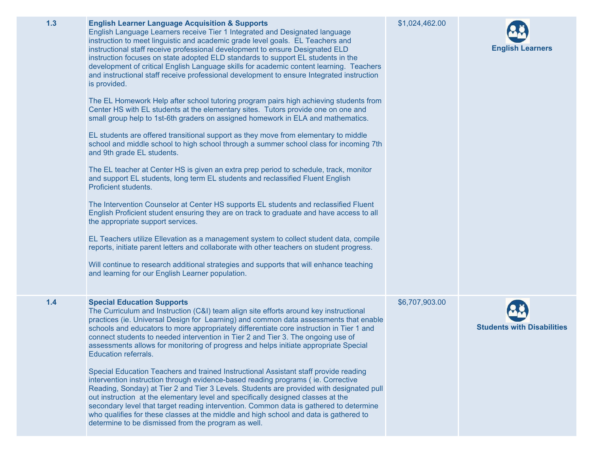| 1.3 | <b>English Learner Language Acquisition &amp; Supports</b><br>English Language Learners receive Tier 1 Integrated and Designated language<br>instruction to meet linguistic and academic grade level goals. EL Teachers and<br>instructional staff receive professional development to ensure Designated ELD<br>instruction focuses on state adopted ELD standards to support EL students in the<br>development of critical English Language skills for academic content learning. Teachers<br>and instructional staff receive professional development to ensure Integrated instruction<br>is provided.<br>The EL Homework Help after school tutoring program pairs high achieving students from<br>Center HS with EL students at the elementary sites. Tutors provide one on one and<br>small group help to 1st-6th graders on assigned homework in ELA and mathematics.<br>EL students are offered transitional support as they move from elementary to middle<br>school and middle school to high school through a summer school class for incoming 7th<br>and 9th grade EL students.<br>The EL teacher at Center HS is given an extra prep period to schedule, track, monitor<br>and support EL students, long term EL students and reclassified Fluent English<br>Proficient students.<br>The Intervention Counselor at Center HS supports EL students and reclassified Fluent<br>English Proficient student ensuring they are on track to graduate and have access to all<br>the appropriate support services.<br>EL Teachers utilize Ellevation as a management system to collect student data, compile<br>reports, initiate parent letters and collaborate with other teachers on student progress.<br>Will continue to research additional strategies and supports that will enhance teaching<br>and learning for our English Learner population. | \$1,024,462.00 | <b>English Learners</b>           |
|-----|-------------------------------------------------------------------------------------------------------------------------------------------------------------------------------------------------------------------------------------------------------------------------------------------------------------------------------------------------------------------------------------------------------------------------------------------------------------------------------------------------------------------------------------------------------------------------------------------------------------------------------------------------------------------------------------------------------------------------------------------------------------------------------------------------------------------------------------------------------------------------------------------------------------------------------------------------------------------------------------------------------------------------------------------------------------------------------------------------------------------------------------------------------------------------------------------------------------------------------------------------------------------------------------------------------------------------------------------------------------------------------------------------------------------------------------------------------------------------------------------------------------------------------------------------------------------------------------------------------------------------------------------------------------------------------------------------------------------------------------------------------------------------------------------------------------------------------------------------------------|----------------|-----------------------------------|
| 1.4 | <b>Special Education Supports</b><br>The Curriculum and Instruction (C&I) team align site efforts around key instructional<br>practices (ie. Universal Design for Learning) and common data assessments that enable<br>schools and educators to more appropriately differentiate core instruction in Tier 1 and<br>connect students to needed intervention in Tier 2 and Tier 3. The ongoing use of<br>assessments allows for monitoring of progress and helps initiate appropriate Special<br>Education referrals.<br>Special Education Teachers and trained Instructional Assistant staff provide reading<br>intervention instruction through evidence-based reading programs (ie. Corrective<br>Reading, Sonday) at Tier 2 and Tier 3 Levels. Students are provided with designated pull<br>out instruction at the elementary level and specifically designed classes at the<br>secondary level that target reading intervention. Common data is gathered to determine<br>who qualifies for these classes at the middle and high school and data is gathered to<br>determine to be dismissed from the program as well.                                                                                                                                                                                                                                                                                                                                                                                                                                                                                                                                                                                                                                                                                                                                   | \$6,707,903.00 | <b>Students with Disabilities</b> |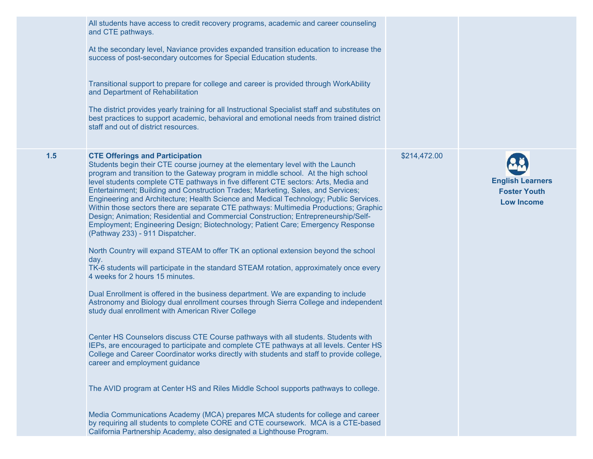|     | All students have access to credit recovery programs, academic and career counseling<br>and CTE pathways.<br>At the secondary level, Naviance provides expanded transition education to increase the<br>success of post-secondary outcomes for Special Education students.<br>Transitional support to prepare for college and career is provided through WorkAbility<br>and Department of Rehabilitation<br>The district provides yearly training for all Instructional Specialist staff and substitutes on<br>best practices to support academic, behavioral and emotional needs from trained district<br>staff and out of district resources.                                                                                                                                                                                                                                                                                                                                                                                                                                                                                                                                                                                                                                                                                                                                                                                                                                                                                                                                                                                                                                                                                                                                                                                                                                                                |              |                                                                     |
|-----|----------------------------------------------------------------------------------------------------------------------------------------------------------------------------------------------------------------------------------------------------------------------------------------------------------------------------------------------------------------------------------------------------------------------------------------------------------------------------------------------------------------------------------------------------------------------------------------------------------------------------------------------------------------------------------------------------------------------------------------------------------------------------------------------------------------------------------------------------------------------------------------------------------------------------------------------------------------------------------------------------------------------------------------------------------------------------------------------------------------------------------------------------------------------------------------------------------------------------------------------------------------------------------------------------------------------------------------------------------------------------------------------------------------------------------------------------------------------------------------------------------------------------------------------------------------------------------------------------------------------------------------------------------------------------------------------------------------------------------------------------------------------------------------------------------------------------------------------------------------------------------------------------------------|--------------|---------------------------------------------------------------------|
| 1.5 | <b>CTE Offerings and Participation</b><br>Students begin their CTE course journey at the elementary level with the Launch<br>program and transition to the Gateway program in middle school. At the high school<br>level students complete CTE pathways in five different CTE sectors: Arts, Media and<br>Entertainment; Building and Construction Trades; Marketing, Sales, and Services;<br>Engineering and Architecture; Health Science and Medical Technology; Public Services.<br>Within those sectors there are separate CTE pathways: Multimedia Productions; Graphic<br>Design; Animation; Residential and Commercial Construction; Entrepreneurship/Self-<br>Employment; Engineering Design; Biotechnology; Patient Care; Emergency Response<br>(Pathway 233) - 911 Dispatcher.<br>North Country will expand STEAM to offer TK an optional extension beyond the school<br>day.<br>TK-6 students will participate in the standard STEAM rotation, approximately once every<br>4 weeks for 2 hours 15 minutes.<br>Dual Enrollment is offered in the business department. We are expanding to include<br>Astronomy and Biology dual enrollment courses through Sierra College and independent<br>study dual enrollment with American River College<br>Center HS Counselors discuss CTE Course pathways with all students. Students with<br>IEPs, are encouraged to participate and complete CTE pathways at all levels. Center HS<br>College and Career Coordinator works directly with students and staff to provide college,<br>career and employment guidance<br>The AVID program at Center HS and Riles Middle School supports pathways to college.<br>Media Communications Academy (MCA) prepares MCA students for college and career<br>by requiring all students to complete CORE and CTE coursework. MCA is a CTE-based<br>California Partnership Academy, also designated a Lighthouse Program. | \$214,472.00 | <b>English Learners</b><br><b>Foster Youth</b><br><b>Low Income</b> |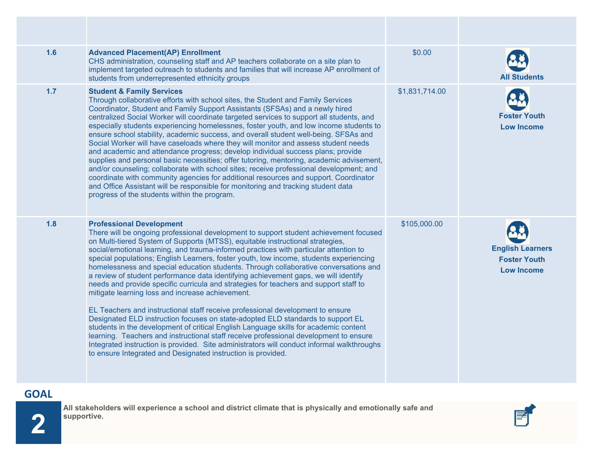| 1.6 | <b>Advanced Placement(AP) Enrollment</b><br>CHS administration, counseling staff and AP teachers collaborate on a site plan to<br>implement targeted outreach to students and families that will increase AP enrollment of<br>students from underrepresented ethnicity groups                                                                                                                                                                                                                                                                                                                                                                                                                                                                                                                                                                                                                                                                                                                                                                                                                                                                                                                                                                 | \$0.00         | <b>All Students</b>                                                 |
|-----|-----------------------------------------------------------------------------------------------------------------------------------------------------------------------------------------------------------------------------------------------------------------------------------------------------------------------------------------------------------------------------------------------------------------------------------------------------------------------------------------------------------------------------------------------------------------------------------------------------------------------------------------------------------------------------------------------------------------------------------------------------------------------------------------------------------------------------------------------------------------------------------------------------------------------------------------------------------------------------------------------------------------------------------------------------------------------------------------------------------------------------------------------------------------------------------------------------------------------------------------------|----------------|---------------------------------------------------------------------|
| 1.7 | <b>Student &amp; Family Services</b><br>Through collaborative efforts with school sites, the Student and Family Services<br>Coordinator, Student and Family Support Assistants (SFSAs) and a newly hired<br>centralized Social Worker will coordinate targeted services to support all students, and<br>especially students experiencing homelessnes, foster youth, and low income students to<br>ensure school stability, academic success, and overall student well-being. SFSAs and<br>Social Worker will have caseloads where they will monitor and assess student needs<br>and academic and attendance progress; develop individual success plans; provide<br>supplies and personal basic necessities; offer tutoring, mentoring, academic advisement,<br>and/or counseling; collaborate with school sites; receive professional development; and<br>coordinate with community agencies for additional resources and support. Coordinator<br>and Office Assistant will be responsible for monitoring and tracking student data<br>progress of the students within the program.                                                                                                                                                           | \$1,831,714.00 | <b>Foster Youth</b><br><b>Low Income</b>                            |
| 1.8 | <b>Professional Development</b><br>There will be ongoing professional development to support student achievement focused<br>on Multi-tiered System of Supports (MTSS), equitable instructional strategies,<br>social/emotional learning, and trauma-informed practices with particular attention to<br>special populations; English Learners, foster youth, low income, students experiencing<br>homelessness and special education students. Through collaborative conversations and<br>a review of student performance data identifying achievement gaps, we will identify<br>needs and provide specific curricula and strategies for teachers and support staff to<br>mitigate learning loss and increase achievement.<br>EL Teachers and instructional staff receive professional development to ensure<br>Designated ELD instruction focuses on state-adopted ELD standards to support EL<br>students in the development of critical English Language skills for academic content<br>learning. Teachers and instructional staff receive professional development to ensure<br>Integrated instruction is provided. Site administrators will conduct informal walkthroughs<br>to ensure Integrated and Designated instruction is provided. | \$105,000.00   | <b>English Learners</b><br><b>Foster Youth</b><br><b>Low Income</b> |

# **GOAL**

**2**

**All stakeholders will experience a school and district climate that is physically and emotionally safe and supportive.**

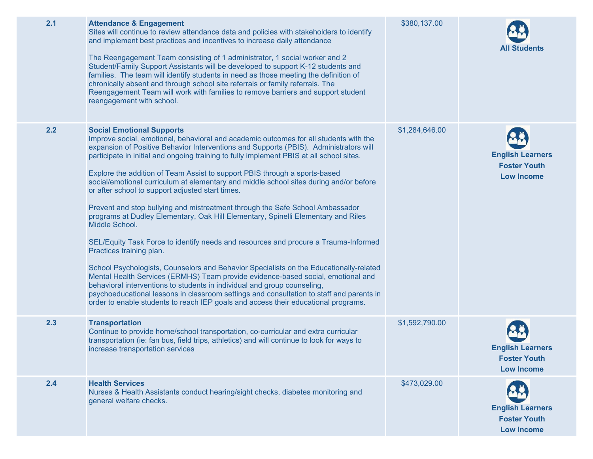| 2.1<br>\$380,137.00<br><b>Attendance &amp; Engagement</b><br>Sites will continue to review attendance data and policies with stakeholders to identify<br>and implement best practices and incentives to increase daily attendance<br><b>All Students</b><br>The Reengagement Team consisting of 1 administrator, 1 social worker and 2<br>Student/Family Support Assistants will be developed to support K-12 students and<br>families. The team will identify students in need as those meeting the definition of<br>chronically absent and through school site referrals or family referrals. The<br>Reengagement Team will work with families to remove barriers and support student<br>reengagement with school.<br>2.2<br>\$1,284,646.00<br><b>Social Emotional Supports</b><br>Improve social, emotional, behavioral and academic outcomes for all students with the<br>expansion of Positive Behavior Interventions and Supports (PBIS). Administrators will<br><b>English Learners</b><br>participate in initial and ongoing training to fully implement PBIS at all school sites.<br><b>Foster Youth</b><br>Explore the addition of Team Assist to support PBIS through a sports-based<br><b>Low Income</b><br>social/emotional curriculum at elementary and middle school sites during and/or before<br>or after school to support adjusted start times.<br>Prevent and stop bullying and mistreatment through the Safe School Ambassador<br>programs at Dudley Elementary, Oak Hill Elementary, Spinelli Elementary and Riles<br>Middle School.<br>SEL/Equity Task Force to identify needs and resources and procure a Trauma-Informed<br>Practices training plan.<br>School Psychologists, Counselors and Behavior Specialists on the Educationally-related<br>Mental Health Services (ERMHS) Team provide evidence-based social, emotional and<br>behavioral interventions to students in individual and group counseling,<br>psychoeducational lessons in classroom settings and consultation to staff and parents in<br>order to enable students to reach IEP goals and access their educational programs.<br>2.3<br>\$1,592,790.00<br><b>Transportation</b><br>Continue to provide home/school transportation, co-curricular and extra curricular<br>transportation (ie: fan bus, field trips, athletics) and will continue to look for ways to<br><b>English Learners</b><br>increase transportation services<br><b>Foster Youth</b><br><b>Low Income</b><br>2.4<br><b>Health Services</b><br>\$473,029.00<br>Nurses & Health Assistants conduct hearing/sight checks, diabetes monitoring and<br>general welfare checks.<br><b>English Learners</b><br><b>Foster Youth</b><br><b>Low Income</b> |  |  |
|-------------------------------------------------------------------------------------------------------------------------------------------------------------------------------------------------------------------------------------------------------------------------------------------------------------------------------------------------------------------------------------------------------------------------------------------------------------------------------------------------------------------------------------------------------------------------------------------------------------------------------------------------------------------------------------------------------------------------------------------------------------------------------------------------------------------------------------------------------------------------------------------------------------------------------------------------------------------------------------------------------------------------------------------------------------------------------------------------------------------------------------------------------------------------------------------------------------------------------------------------------------------------------------------------------------------------------------------------------------------------------------------------------------------------------------------------------------------------------------------------------------------------------------------------------------------------------------------------------------------------------------------------------------------------------------------------------------------------------------------------------------------------------------------------------------------------------------------------------------------------------------------------------------------------------------------------------------------------------------------------------------------------------------------------------------------------------------------------------------------------------------------------------------------------------------------------------------------------------------------------------------------------------------------------------------------------------------------------------------------------------------------------------------------------------------------------------------------------------------------------------------------------------------------------------------------------------------------------------------------------------------------------------------------------------------------------------------------|--|--|
|                                                                                                                                                                                                                                                                                                                                                                                                                                                                                                                                                                                                                                                                                                                                                                                                                                                                                                                                                                                                                                                                                                                                                                                                                                                                                                                                                                                                                                                                                                                                                                                                                                                                                                                                                                                                                                                                                                                                                                                                                                                                                                                                                                                                                                                                                                                                                                                                                                                                                                                                                                                                                                                                                                                   |  |  |
|                                                                                                                                                                                                                                                                                                                                                                                                                                                                                                                                                                                                                                                                                                                                                                                                                                                                                                                                                                                                                                                                                                                                                                                                                                                                                                                                                                                                                                                                                                                                                                                                                                                                                                                                                                                                                                                                                                                                                                                                                                                                                                                                                                                                                                                                                                                                                                                                                                                                                                                                                                                                                                                                                                                   |  |  |
|                                                                                                                                                                                                                                                                                                                                                                                                                                                                                                                                                                                                                                                                                                                                                                                                                                                                                                                                                                                                                                                                                                                                                                                                                                                                                                                                                                                                                                                                                                                                                                                                                                                                                                                                                                                                                                                                                                                                                                                                                                                                                                                                                                                                                                                                                                                                                                                                                                                                                                                                                                                                                                                                                                                   |  |  |
|                                                                                                                                                                                                                                                                                                                                                                                                                                                                                                                                                                                                                                                                                                                                                                                                                                                                                                                                                                                                                                                                                                                                                                                                                                                                                                                                                                                                                                                                                                                                                                                                                                                                                                                                                                                                                                                                                                                                                                                                                                                                                                                                                                                                                                                                                                                                                                                                                                                                                                                                                                                                                                                                                                                   |  |  |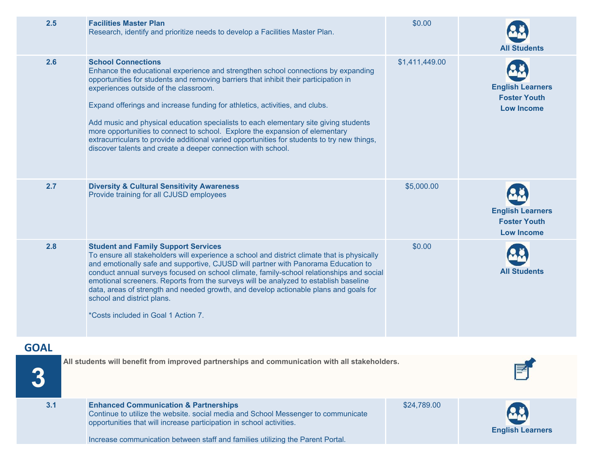| 2.5         | <b>Facilities Master Plan</b><br>Research, identify and prioritize needs to develop a Facilities Master Plan.                                                                                                                                                                                                                                                                                                                                                                                                                                                                                                                                                         | \$0.00         | <b>All Students</b>                                                 |
|-------------|-----------------------------------------------------------------------------------------------------------------------------------------------------------------------------------------------------------------------------------------------------------------------------------------------------------------------------------------------------------------------------------------------------------------------------------------------------------------------------------------------------------------------------------------------------------------------------------------------------------------------------------------------------------------------|----------------|---------------------------------------------------------------------|
| 2.6         | <b>School Connections</b><br>Enhance the educational experience and strengthen school connections by expanding<br>opportunities for students and removing barriers that inhibit their participation in<br>experiences outside of the classroom.<br>Expand offerings and increase funding for athletics, activities, and clubs.<br>Add music and physical education specialists to each elementary site giving students<br>more opportunities to connect to school. Explore the expansion of elementary<br>extracurriculars to provide additional varied opportunities for students to try new things,<br>discover talents and create a deeper connection with school. | \$1,411,449.00 | <b>English Learners</b><br><b>Foster Youth</b><br><b>Low Income</b> |
| 2.7         | <b>Diversity &amp; Cultural Sensitivity Awareness</b><br>Provide training for all CJUSD employees                                                                                                                                                                                                                                                                                                                                                                                                                                                                                                                                                                     | \$5,000.00     | <b>English Learners</b><br><b>Foster Youth</b><br><b>Low Income</b> |
| 2.8         | <b>Student and Family Support Services</b><br>To ensure all stakeholders will experience a school and district climate that is physically<br>and emotionally safe and supportive, CJUSD will partner with Panorama Education to<br>conduct annual surveys focused on school climate, family-school relationships and social<br>emotional screeners. Reports from the surveys will be analyzed to establish baseline<br>data, areas of strength and needed growth, and develop actionable plans and goals for<br>school and district plans.<br>*Costs included in Goal 1 Action 7.                                                                                     | \$0.00         | <b>All Students</b>                                                 |
| <b>GOAL</b> |                                                                                                                                                                                                                                                                                                                                                                                                                                                                                                                                                                                                                                                                       |                |                                                                     |
|             | All students will benefit from improved partnerships and communication with all stakeholders.                                                                                                                                                                                                                                                                                                                                                                                                                                                                                                                                                                         |                |                                                                     |
| 3.1         | <b>Enhanced Communication &amp; Partnerships</b><br>Continue to utilize the website. social media and School Messenger to communicate<br>opportunities that will increase participation in school activities.<br>Increase communication between staff and families utilizing the Parent Portal.                                                                                                                                                                                                                                                                                                                                                                       | \$24,789.00    | <b>English Learners</b>                                             |
|             |                                                                                                                                                                                                                                                                                                                                                                                                                                                                                                                                                                                                                                                                       |                |                                                                     |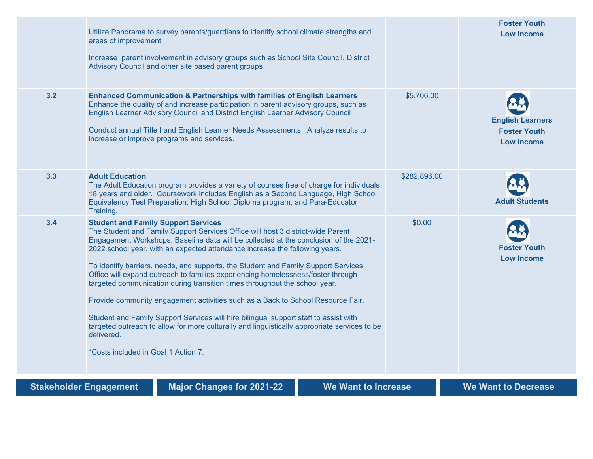|                               | Utilize Panorama to survey parents/guardians to identify school climate strengths and<br>areas of improvement<br>Increase parent involvement in advisory groups such as School Site Council, District<br>Advisory Council and other site based parent groups                                                                                                                                                                                                                                                                                                                                                                                                                                                                                                                                                                                                                                 |              | <b>Foster Youth</b><br><b>Low Income</b>                            |
|-------------------------------|----------------------------------------------------------------------------------------------------------------------------------------------------------------------------------------------------------------------------------------------------------------------------------------------------------------------------------------------------------------------------------------------------------------------------------------------------------------------------------------------------------------------------------------------------------------------------------------------------------------------------------------------------------------------------------------------------------------------------------------------------------------------------------------------------------------------------------------------------------------------------------------------|--------------|---------------------------------------------------------------------|
| 3.2                           | <b>Enhanced Communication &amp; Partnerships with families of English Learners</b><br>Enhance the quality of and increase participation in parent advisory groups, such as<br>English Learner Advisory Council and District English Learner Advisory Council<br>Conduct annual Title I and English Learner Needs Assessments. Analyze results to<br>increase or improve programs and services.                                                                                                                                                                                                                                                                                                                                                                                                                                                                                               | \$5,706.00   | <b>English Learners</b><br><b>Foster Youth</b><br><b>Low Income</b> |
| 3.3                           | <b>Adult Education</b><br>The Adult Education program provides a variety of courses free of charge for individuals<br>18 years and older. Coursework includes English as a Second Language, High School<br>Equivalency Test Preparation, High School Diploma program, and Para-Educator<br>Training.                                                                                                                                                                                                                                                                                                                                                                                                                                                                                                                                                                                         | \$282,896.00 | <b>Adult Students</b>                                               |
| 3.4                           | <b>Student and Family Support Services</b><br>The Student and Family Support Services Office will host 3 district-wide Parent<br>Engagement Workshops. Baseline data will be collected at the conclusion of the 2021-<br>2022 school year, with an expected attendance increase the following years.<br>To identify barriers, needs, and supports, the Student and Family Support Services<br>Office will expand outreach to families experiencing homelessness/foster through<br>targeted communication during transition times throughout the school year.<br>Provide community engagement activities such as a Back to School Resource Fair.<br>Student and Family Support Services will hire bilingual support staff to assist with<br>targeted outreach to allow for more culturally and linguistically appropriate services to be<br>delivered.<br>*Costs included in Goal 1 Action 7. | \$0.00       | <b>Foster Youth</b><br><b>Low Income</b>                            |
| <b>Stakeholder Engagement</b> | <b>Major Changes for 2021-22</b><br><b>We Want to Increase</b>                                                                                                                                                                                                                                                                                                                                                                                                                                                                                                                                                                                                                                                                                                                                                                                                                               |              | <b>We Want to Decrease</b>                                          |